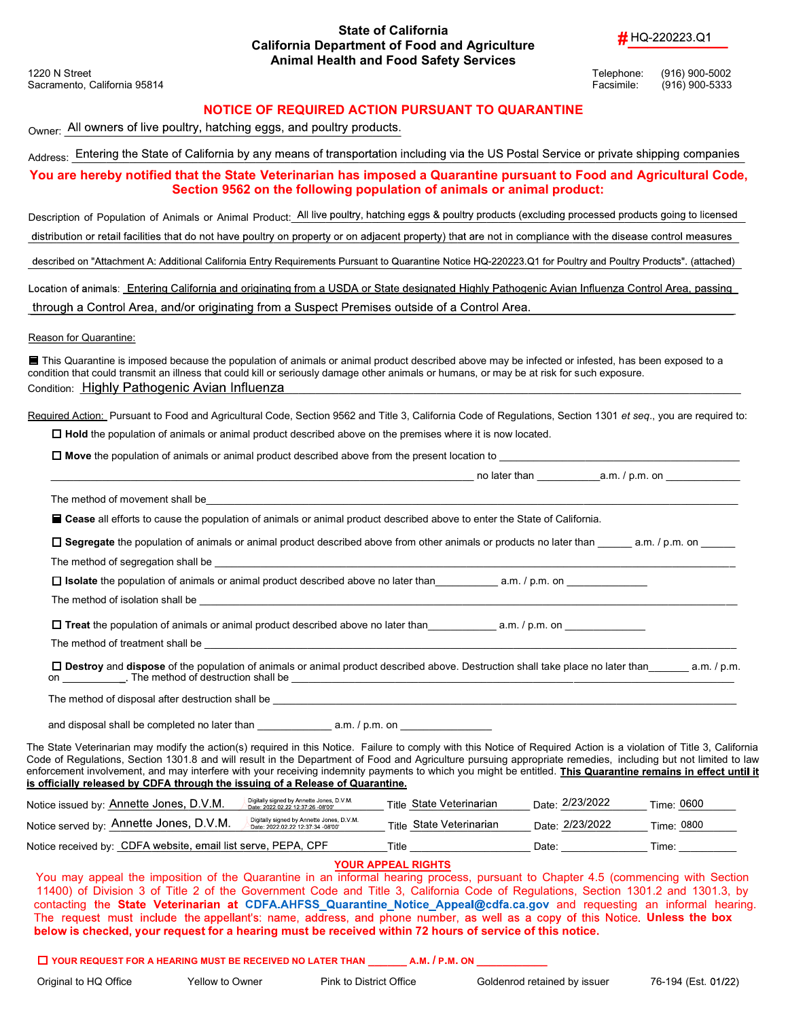### State of California California Department of Food and Agriculture # HQ-220223.Q1 Animal Health and Food Safety Services

Sacramento, California 95814 Facsimile: (916) 900-5333

1220 N Street Telephone: (916) 900-5002

### NOTICE OF REQUIRED ACTION PURSUANT TO QUARANTINE

Owner: All owners of live poultry, hatching eggs, and poultry products.

Address: Entering the State of California by any means of transportation including via the US Postal Service or private shipping companies

You are hereby notified that the State Veterinarian has imposed a Quarantine pursuant to Food and Agricultural Code, Section 9562 on the following population of animals or animal product:

Description of Population of Animals or Animal Product: All live poultry, hatching eggs & poultry products (excluding processed products going to licensed

distribution or retail facilities that do not have poultry on property or on adjacent property) that are not in compliance with the disease control measures

described on "Attachment A: Additional California Entry Requirements Pursuant to Quarantine Notice HQ-220223.Q1 for Poultry and Poultry Products". (attached)

Location of animals: Entering California and originating from a USDA or State designated Highly Pathogenic Avian Influenza Control Area, passing through a Control Area, and/or originating from a Suspect Premises outside of a Control Area.

Reason for Quarantine:

■ This Quarantine is imposed because the population of animals or animal product described above may be infected or infested, has been exposed to a condition that could transmit an illness that could kill or seriously damage other animals or humans, or may be at risk for such exposure. Condition: Highly Pathogenic Avian Influenza

Required Action: Pursuant to Food and Agricultural Code, Section 9562 and Title 3, California Code of Requlations, Section 1301 et seq., you are required to:

 $\Box$  Hold the population of animals or animal product described above on the premises where it is now located.

 $\Box$  Move the population of animals or animal product described above from the present location to

| no later th |  |
|-------------|--|
|-------------|--|

 $tan \qquad \qquad \qquad \text{a.m.} \text{ / p.m. on}$ 

The method of movement shall be

Cease all efforts to cause the population of animals or animal product described above to enter the State of California.

 $\Box$  Segregate the population of animals or animal product described above from other animals or products no later than  $a.m. / p.m.$  on

The method of segregation shall be

 $\square$  **Isolate** the population of animals or animal product described above no later than  $\qquad \qquad$  a.m. / p.m. on

The method of isolation shall be

 $\square$  Treat the population of animals or animal product described above no later than  $q_1$  a.m. / p.m. on

The method of treatment shall be

 $\square$  Destroy and dispose of the population of animals or animal product described above. Destruction shall take place no later than  $a.m. / p.m.$ on The method of destruction shall be \_\_\_\_\_\_\_\_\_\_\_\_\_\_\_\_\_\_\_\_\_\_\_\_\_\_\_\_\_\_\_\_\_\_\_\_\_\_\_\_\_\_\_\_\_\_\_\_\_\_\_\_\_\_\_\_\_\_\_\_\_\_\_\_\_\_\_\_\_\_\_\_\_\_\_\_\_

The method of disposal after destruction shall be

and disposal shall be completed no later than  $a.m. / p.m.$  on

The State Veterinarian may modify the action(s) required in this Notice. Failure to comply with this Notice of Required Action is a violation of Title 3, California Code of Regulations, Section 1301.8 and will result in the Department of Food and Agriculture pursuing appropriate remedies, including but not limited to law enforcement involvement, and may interfere with your receiving indemnity payments to which you might be entitled. This Quarantine remains in effect until it<br>is officially released by CDFA through the issuing of a Release o

| Notice issued by: Annette Jones, D.V.M.                       | Digitally signed by Annette Jones, D.V.M.<br>Date: 2022.02.22 12:37:26 -08'00' | Title State Veterinarian | Date: 2/23/2022 | Time: 0600 |
|---------------------------------------------------------------|--------------------------------------------------------------------------------|--------------------------|-----------------|------------|
| Notice served by: Annette Jones, D.V.M.                       | Digitally signed by Annette Jones, D.V.M.<br>Date: 2022.02.22 12:37:34 -08'00' | Title State Veterinarian | Date: 2/23/2022 | Time: 0800 |
| Notice received by: CDFA website, email list serve, PEPA, CPF |                                                                                | Title                    | Date:           | Time:      |

#### YOUR APPEAL RIGHTS

You may appeal the imposition of the Quarantine in an informal hearing process, pursuant to Chapter 4.5 (commencing with Section 11400) of Division 3 of Title 2 of the Government Code and Title 3, California Code of Regulations, Section 1301.2 and 1301.3, by contacting the State Veterinarian at CDFA.AHFSS\_Quarantine\_Notice\_Appeal@cdfa.ca.gov and requesting an informal hearing. The request must include the appellant's: name, address, and phone number, as well as a copy of this Notice. Unless the box below is checked, your request for a hearing must be received within 72 hours of service of this notice.

 $\Box$  YOUR REQUEST FOR A HEARING MUST BE RECEIVED NO LATER THAN  $\Box$  A.M.  $/$  P.M. ON

Original to HQ Office Yellow to Owner Pink to District Office Goldenrod retained by issuer 76-194 (Est. 01/22)